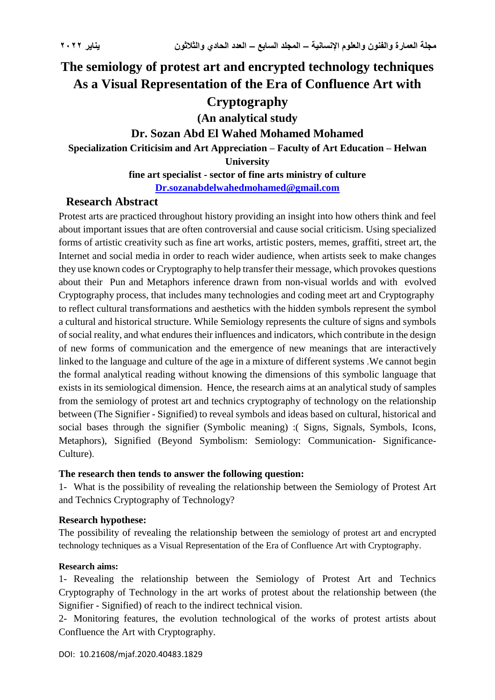# **The semiology of protest art and encrypted technology techniques As a Visual Representation of the Era of Confluence Art with Cryptography (An analytical study Dr. Sozan Abd El Wahed Mohamed Mohamed Specialization Criticisim and Art Appreciation – Faculty of Art Education – Helwan University fine art specialist - sector of fine arts ministry of culture**

**[Dr.sozanabdelwahedmohamed@gmail.com](mailto:Dr.sozanabdelwahedmohamed@gmail.com)**

### **Research Abstract**

Protest arts are practiced throughout history providing an insight into how others think and feel about important issues that are often controversial and cause social criticism. Using specialized forms of artistic creativity such as fine art works, artistic posters, memes, graffiti, street art, the Internet and social media in order to reach wider audience, when artists seek to make changes they use known codes or Cryptography to help transfer their message, which provokes questions about their Pun and Metaphors inference drawn from non-visual worlds and with evolved Cryptography process, that includes many technologies and coding meet art and Cryptography to reflect cultural transformations and aesthetics with the hidden symbols represent the symbol a cultural and historical structure. While Semiology represents the culture of signs and symbols of social reality, and what endures their influences and indicators, which contribute in the design of new forms of communication and the emergence of new meanings that are interactively linked to the language and culture of the age in a mixture of different systems .We cannot begin the formal analytical reading without knowing the dimensions of this symbolic language that exists in its semiological dimension. Hence, the research aims at an analytical study of samples from the semiology of protest art and technics cryptography of technology on the relationship between (The Signifier - Signified) to reveal symbols and ideas based on cultural, historical and social bases through the signifier (Symbolic meaning) :( Signs, Signals, Symbols, Icons, Metaphors), Signified (Beyond Symbolism: Semiology: Communication- Significance-Culture).

#### **The research then tends to answer the following question:**

1- What is the possibility of revealing the relationship between the Semiology of Protest Art and Technics Cryptography of Technology?

#### **Research hypothese:**

The possibility of revealing the relationship between the semiology of protest art and encrypted technology techniques as a Visual Representation of the Era of Confluence Art with Cryptography.

#### **Research aims:**

1- Revealing the relationship between the Semiology of Protest Art and Technics Cryptography of Technology in the art works of protest about the relationship between (the Signifier - Signified) of reach to the indirect technical vision.

2- Monitoring features, the evolution technological of the works of protest artists about Confluence the Art with Cryptography.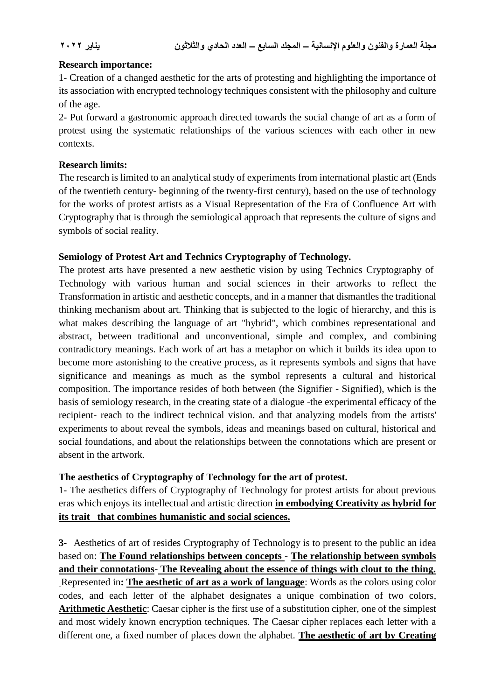#### **Research importance:**

1- Creation of a changed aesthetic for the arts of protesting and highlighting the importance of its association with encrypted technology techniques consistent with the philosophy and culture of the age.

2- Put forward a gastronomic approach directed towards the social change of art as a form of protest using the systematic relationships of the various sciences with each other in new contexts.

#### **Research limits:**

The research is limited to an analytical study of experiments from international plastic art (Ends of the twentieth century- beginning of the twenty-first century), based on the use of technology for the works of protest artists as a Visual Representation of the Era of Confluence Art with Cryptography that is through the semiological approach that represents the culture of signs and symbols of social reality.

#### **Semiology of Protest Art and Technics Cryptography of Technology.**

The protest arts have presented a new aesthetic vision by using Technics Cryptography of Technology with various human and social sciences in their artworks to reflect the Transformation in artistic and aesthetic concepts, and in a manner that dismantles the traditional thinking mechanism about art. Thinking that is subjected to the logic of hierarchy, and this is what makes describing the language of art "hybrid", which combines representational and abstract, between traditional and unconventional, simple and complex, and combining contradictory meanings. Each work of art has a metaphor on which it builds its idea upon to become more astonishing to the creative process, as it represents symbols and signs that have significance and meanings as much as the symbol represents a cultural and historical composition. The importance resides of both between (the Signifier - Signified), which is the basis of semiology research, in the creating state of a dialogue -the experimental efficacy of the recipient- reach to the indirect technical vision. and that analyzing models from the artists' experiments to about reveal the symbols, ideas and meanings based on cultural, historical and social foundations, and about the relationships between the connotations which are present or absent in the artwork.

#### **The aesthetics of Cryptography of Technology for the art of protest.**

1- The aesthetics differs of Cryptography of Technology for protest artists for about previous eras which enjoys its intellectual and artistic direction **in embodying Creativity as hybrid for its trait that combines humanistic and social sciences.**

**3-** Aesthetics of art of resides Cryptography of Technology is to present to the public an idea based on: **The Found relationships between concepts** - **The relationship between symbols and their connotations**- **The Revealing about the essence of things with clout to the thing.** Represented in**: The aesthetic of art as a work of language**: Words as the colors using color codes, and each letter of the alphabet designates a unique combination of two colors, **Arithmetic Aesthetic**: Caesar cipher is the first use of a substitution cipher, one of the simplest and most widely known encryption techniques. The Caesar cipher replaces each letter with a different one, a fixed number of places down the alphabet. **The aesthetic of art by Creating**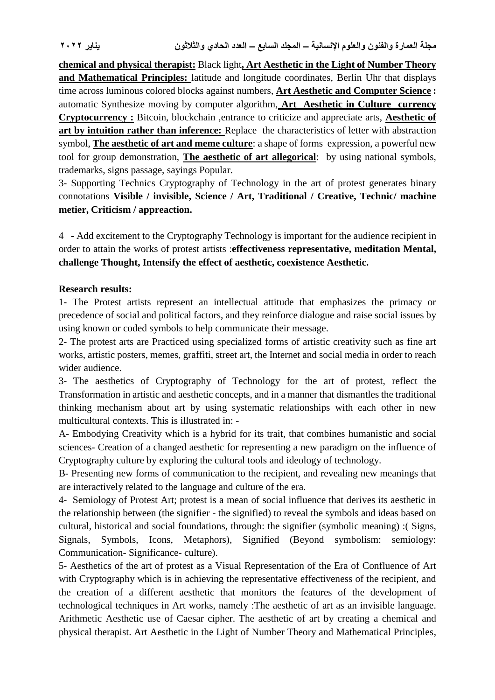**chemical and physical therapist:** Black light**, Art Aesthetic in the Light of Number Theory and Mathematical Principles:** latitude and longitude coordinates, Berlin Uhr that displays time across luminous colored blocks against numbers, **Art Aesthetic and Computer Science :** automatic Synthesize moving by computer algorithm, **Art Aesthetic in Culture currency Cryptocurrency :** Bitcoin, blockchain ,entrance to criticize and appreciate arts, **Aesthetic of art by intuition rather than inference:** Replace the characteristics of letter with abstraction symbol, **The aesthetic of art and meme culture**: a shape of forms expression, a powerful new tool for group demonstration, **The aesthetic of art allegorical**: by using national symbols, trademarks, signs passage, sayings Popular.

3- Supporting Technics Cryptography of Technology in the art of protest generates binary connotations **Visible / invisible, Science / Art, Traditional / Creative, Technic/ machine metier, Criticism / appreaction.**

4 **-** Add excitement to the Cryptography Technology is important for the audience recipient in order to attain the works of protest artists :**effectiveness representative, meditation Mental, challenge Thought, Intensify the effect of aesthetic, coexistence Aesthetic.**

#### **Research results:**

1**-** The Protest artists represent an intellectual attitude that emphasizes the primacy or precedence of social and political factors, and they reinforce dialogue and raise social issues by using known or coded symbols to help communicate their message.

2- The protest arts are Practiced using specialized forms of artistic creativity such as fine art works, artistic posters, memes, graffiti, street art, the Internet and social media in order to reach wider audience.

3- The aesthetics of Cryptography of Technology for the art of protest, reflect the Transformation in artistic and aesthetic concepts, and in a manner that dismantles the traditional thinking mechanism about art by using systematic relationships with each other in new multicultural contexts. This is illustrated in: -

A- Embodying Creativity which is a hybrid for its trait, that combines humanistic and social sciences- Creation of a changed aesthetic for representing a new paradigm on the influence of Cryptography culture by exploring the cultural tools and ideology of technology.

B- Presenting new forms of communication to the recipient, and revealing new meanings that are interactively related to the language and culture of the era.

4- Semiology of Protest Art; protest is a mean of social influence that derives its aesthetic in the relationship between (the signifier - the signified) to reveal the symbols and ideas based on cultural, historical and social foundations, through: the signifier (symbolic meaning) :( Signs, Signals, Symbols, Icons, Metaphors), Signified (Beyond symbolism: semiology: Communication- Significance- culture).

5- Aesthetics of the art of protest as a Visual Representation of the Era of Confluence of Art with Cryptography which is in achieving the representative effectiveness of the recipient, and the creation of a different aesthetic that monitors the features of the development of technological techniques in Art works, namely :The aesthetic of art as an invisible language. Arithmetic Aesthetic use of Caesar cipher. The aesthetic of art by creating a chemical and physical therapist. Art Aesthetic in the Light of Number Theory and Mathematical Principles,